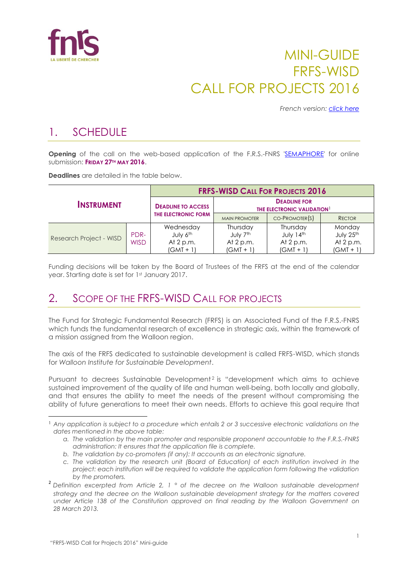

# MINI-GUIDE FRFS-WISD CALL FOR PROJECTS 2016

*French version: [click here](http://www.fnrs.be/docs/Reglement-et-documents/FRFS-WISD_Mini-guide_2016_FR.pdf)*

## 1. SCHEDULE

**Opening** of the call on the web-based application of the F.R.S.-FNRS ['SEMAPHORE'](https://applications.frs-fnrs.be/) for online submission: **FRIDAY 27TH MAY 2016**.

**Deadlines** are detailed in the table below.

|                         |                     |                                                   |                                                               | <b>FRFS-WISD CALL FOR PROJECTS 2016</b>             |                                                   |
|-------------------------|---------------------|---------------------------------------------------|---------------------------------------------------------------|-----------------------------------------------------|---------------------------------------------------|
| <b>INSTRUMENT</b>       |                     | <b>DEADLINE TO ACCESS</b>                         | <b>DEADLINE FOR</b><br>THE ELECTRONIC VALIDATION <sup>1</sup> |                                                     |                                                   |
|                         |                     | THE ELECTRONIC FORM                               | <b>MAIN PROMOTER</b>                                          | $CO-PROMOTER(S)$                                    | <b>RECTOR</b>                                     |
| Research Project - WISD | PDR-<br><b>WISD</b> | Wednesday<br>July 6th<br>At 2 p.m.<br>$(GMT + 1)$ | Thursday<br>July 7th<br>At $2 p.m.$<br>$(GMT + 1)$            | Thursday<br>July 14th<br>At $2 p.m.$<br>$(GMT + 1)$ | Monday<br>July 25th<br>At $2 p.m.$<br>$(GMT + 1)$ |

Funding decisions will be taken by the Board of Trustees of the FRFS at the end of the calendar year. Starting date is set for 1st January 2017.

#### 2. SCOPE OF THE FRES-WISD CALL FOR PROJECTS

The Fund for Strategic Fundamental Research (FRFS) is an Associated Fund of the F.R.S.-FNRS which funds the fundamental research of excellence in strategic axis, within the framework of a mission assigned from the Walloon region.

The axis of the FRFS dedicated to sustainable development is called FRFS-WISD, which stands for *Walloon Institute for Sustainable Development*.

Pursuant to decrees Sustainable Development<sup>2</sup> is "development which aims to achieve sustained improvement of the quality of life and human well-being, both locally and globally, and that ensures the ability to meet the needs of the present without compromising the ability of future generations to meet their own needs. Efforts to achieve this goal require that

 $\overline{a}$ 

<sup>1</sup> *Any application is subject to a procedure which entails 2 or 3 successive electronic validations on the dates mentioned in the above table:*

*a. The validation by the main promoter and responsible proponent accountable to the F.R.S.-FNRS administration: It ensures that the application file is complete.*

*b. The validation by co-promoters (if any): It accounts as an electronic signature.*

*c. The validation by the research unit (Board of Education) of each institution involved in the project: each institution will be required to validate the application form following the validation by the promoters.*

<sup>2</sup> *Definition excerpted from Article 2, 1 ° of the decree on the Walloon sustainable development strategy and the decree on the Walloon sustainable development strategy for the matters covered under Article 138 of the Constitution approved on final reading by the Walloon Government on 28 March 2013.*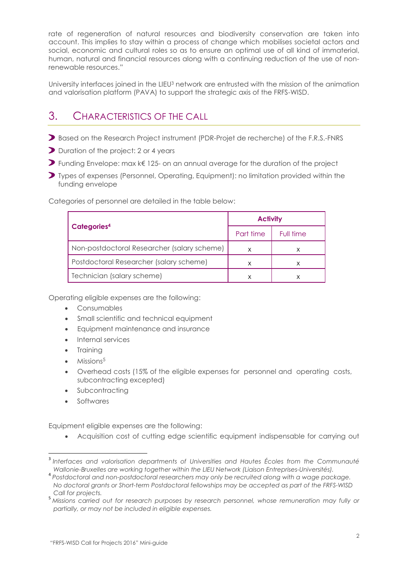rate of regeneration of natural resources and biodiversity conservation are taken into account. This implies to stay within a process of change which mobilises societal actors and social, economic and cultural roles so as to ensure an optimal use of all kind of immaterial, human, natural and financial resources along with a continuing reduction of the use of nonrenewable resources."

University interfaces joined in the LIEU<sup>3</sup> network are entrusted with the mission of the animation and valorisation platform (PAVA) to support the strategic axis of the FRFS-WISD.

### 3. CHARACTERISTICS OF THE CALL

- Based on the Research Project instrument (PDR-Projet de recherche) of the F.R.S.-FNRS
- Duration of the project: 2 or 4 years
- Funding Envelope: max k€ 125- on an annual average for the duration of the project
- Types of expenses (Personnel, Operating, Equipment): no limitation provided within the funding envelope

Categories of personnel are detailed in the table below:

|                                             | <b>Activity</b> |           |  |
|---------------------------------------------|-----------------|-----------|--|
| Categories <sup>4</sup>                     | Part time       | Full time |  |
| Non-postdoctoral Researcher (salary scheme) |                 |           |  |
| Postdoctoral Researcher (salary scheme)     |                 |           |  |
| Technician (salary scheme)                  |                 |           |  |

Operating eligible expenses are the following:

- Consumables
- Small scientific and technical equipment
- Equipment maintenance and insurance
- Internal services
- **Training**
- Missions<sup>5</sup>
- Overhead costs (15% of the eligible expenses for personnel and operating costs, subcontracting excepted)
- Subcontracting
- Softwares

Equipment eligible expenses are the following:

Acquisition cost of cutting edge scientific equipment indispensable for carrying out

 $\overline{a}$ 3 *Interfaces and valorisation departments of Universities and Hautes Écoles from the Communauté Wallonie-Bruxelles are working together within the LIEU Network (Liaison Entreprises-Universités).*

<sup>4</sup> *Postdoctoral and non-postdoctoral researchers may only be recruited along with a wage package. No doctoral grants or Short-term Postdoctoral fellowships may be accepted as part of the FRFS-WISD Call for projects.*

<sup>5</sup> *Missions carried out for research purposes by research personnel, whose remuneration may fully or partially, or may not be included in eligible expenses.*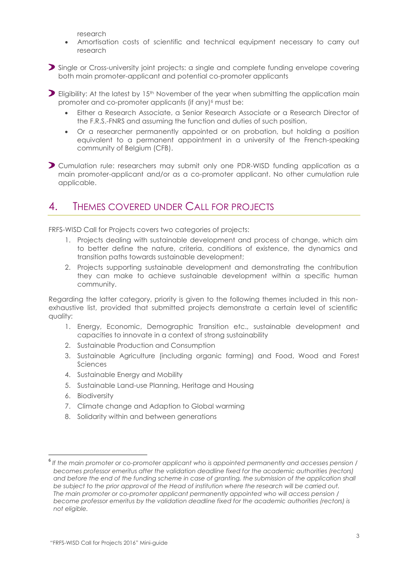research

 Amortisation costs of scientific and technical equipment necessary to carry out research

Single or Cross-university joint projects: a single and complete funding envelope covering both main promoter-applicant and potential co-promoter applicants

 $\triangleright$  Eligibility: At the latest by 15<sup>th</sup> November of the year when submitting the application main promoter and co-promoter applicants (if any)<sup>6</sup> must be:

- Either a Research Associate, a Senior Research Associate or a Research Director of the F.R.S.-FNRS and assuming the function and duties of such position,
- Or a researcher permanently appointed or on probation, but holding a position equivalent to a permanent appointment in a university of the French-speaking community of Belgium (CFB).

Cumulation rule: researchers may submit only one PDR-WISD funding application as a main promoter-applicant and/or as a co-promoter applicant. No other cumulation rule applicable.

#### 4. THEMES COVERED UNDER CALL FOR PROJECTS

FRFS-WISD Call for Projects covers two categories of projects:

- 1. Projects dealing with sustainable development and process of change, which aim to better define the nature, criteria, conditions of existence, the dynamics and transition paths towards sustainable development;
- 2. Projects supporting sustainable development and demonstrating the contribution they can make to achieve sustainable development within a specific human community.

Regarding the latter category, priority is given to the following themes included in this nonexhaustive list, provided that submitted projects demonstrate a certain level of scientific quality:

- 1. Energy, Economic, Demographic Transition etc., sustainable development and capacities to innovate in a context of strong sustainability
- 2. Sustainable Production and Consumption
- 3. Sustainable Agriculture (including organic farming) and Food, Wood and Forest Sciences
- 4. Sustainable Energy and Mobility
- 5. Sustainable Land-use Planning, Heritage and Housing
- 6. Biodiversity

 $\overline{\phantom{a}}$ 

- 7. Climate change and Adaption to Global warming
- 8. Solidarity within and between generations

<sup>6</sup> *If the main promoter or co-promoter applicant who is appointed permanently and accesses pension / becomes professor emeritus after the validation deadline fixed for the academic authorities (rectors)*  and before the end of the funding scheme in case of granting, the submission of the application shall *be subject to the prior approval of the Head of institution where the research will be carried out. The main promoter or co-promoter applicant permanently appointed who will access pension / become professor emeritus by the validation deadline fixed for the academic authorities (rectors) is not eligible.*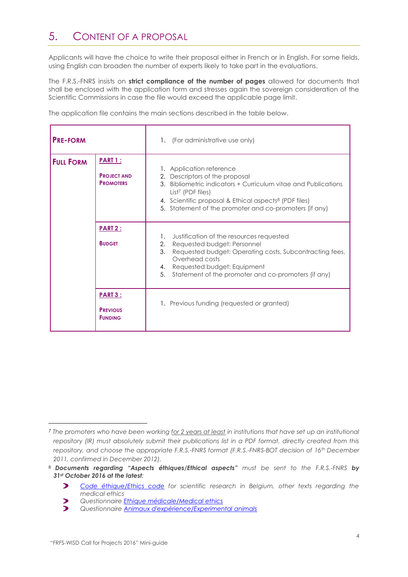### 5. CONTENT OF A PROPOSAL

Applicants will have the choice to write their proposal either in French or in English. For some fields, using English can broaden the number of experts likely to take part in the evaluations.

The F.R.S.-FNRS insists on **strict compliance of the number of pages** allowed for documents that shall be enclosed with the application form and stresses again the sovereign consideration of the Scientific Commissions in case the file would exceed the applicable page limit.

The application file contains the main sections described in the table below.

| <b>PRE-FORM</b>  |                                                          | 1. (For administrative use only)                                                                                                                                                                                                                                                             |
|------------------|----------------------------------------------------------|----------------------------------------------------------------------------------------------------------------------------------------------------------------------------------------------------------------------------------------------------------------------------------------------|
| <b>FULL FORM</b> | <b>PART 1:</b><br><b>PROJECT AND</b><br><b>PROMOTERS</b> | 1. Application reference<br>2. Descriptors of the proposal<br>3. Bibliometric indicators + Curriculum vitae and Publications<br>List <sup>7</sup> (PDF files)<br>4. Scientific proposal & Ethical aspects <sup>8</sup> (PDF files)<br>5. Statement of the promoter and co-promoters (if any) |
|                  | PART 2:<br><b>BUDGET</b>                                 | Justification of the resources requested<br>1.<br>2. Requested budget: Personnel<br>3.<br>Requested budget: Operating costs, Subcontracting fees,<br>Overhead costs<br>4. Requested budget: Equipment<br>5.<br>Statement of the promoter and co-promoters (if any)                           |
|                  | <b>PART 3:</b><br><b>PREVIOUS</b><br><b>FUNDING</b>      | 1. Previous funding (requested or granted)                                                                                                                                                                                                                                                   |

 $\overline{\phantom{a}}$ 

<sup>7</sup> *The promoters who have been working for 2 years at least in institutions that have set up an institutional repository (IR) must absolutely submit their publications list in a PDF format, directly created from this repository, and choose the appropriate F.R.S.-FNRS format (F.R.S.-FNRS-BOT decision of 16th December 2011, confirmed in December 2012).*

<sup>8</sup> *Documents regarding "Aspects éthiques/Ethical aspects" must be sent to the F.R.S.-FNRS by 31st October 2016 at the latest:*

 $\blacktriangleright$ *[Code éthique/Ethics code](http://www.fnrs.be/docs/Reglement-et-documents/FRS-FNRS_ETHIQUE_ETHICS.pdf) for scientific research in Belgium, other texts regarding the medical ethics*

 $\mathbf{z}$ *Questionnair[e Ethique médicale/Medical ethics](http://www.fnrs.be/docs/Reglement-et-documents/FRS-FNRS_Questionnaire_Ethique_Ethics.pdf)*

 $\blacktriangleright$ *Questionnair[e Animaux d'expérience/Experimental animals](http://www.fnrs.be/docs/Reglement-et-documents/FRS-FNRS_Questionnaire_Animaux_Animals.pdf)*